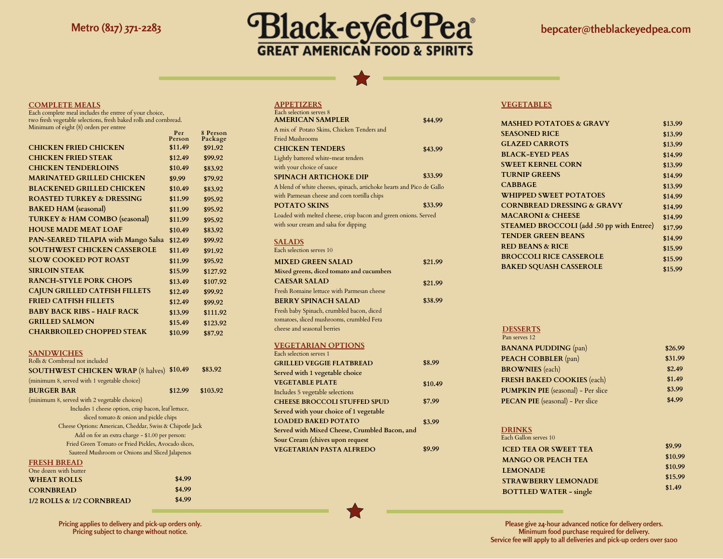

#### **COMPLETE MEALS**

Each complete meal includes the entree of your choice, two fresh vegetable selections, fresh baked rolls and cornbread. Minimum of eight (8) orders per entree **Per**

|                                          | Person  | Package  |
|------------------------------------------|---------|----------|
| <b>CHICKEN FRIED CHICKEN</b>             | \$11.49 | \$91.92  |
| <b>CHICKEN FRIED STEAK</b>               | \$12.49 | \$99.92  |
| <b>CHICKEN TENDERLOINS</b>               | \$10.49 | \$83.92  |
| <b>MARINATED GRILLED CHICKEN</b>         | \$9.99  | \$79.92  |
| <b>BLACKENED GRILLED CHICKEN</b>         | \$10.49 | \$83.92  |
| <b>ROASTED TURKEY &amp; DRESSING</b>     | \$11.99 | \$95.92  |
| <b>BAKED HAM</b> (seasonal)              | \$11.99 | \$95.92  |
| <b>TURKEY &amp; HAM COMBO</b> (seasonal) | \$11.99 | \$95.92  |
| <b>HOUSE MADE MEAT LOAF</b>              | \$10.49 | \$83.92  |
| PAN-SEARED TILAPIA with Mango Salsa      | \$12.49 | \$99.92  |
| <b>SOUTHWEST CHICKEN CASSEROLE</b>       | \$11.49 | \$91.92  |
| <b>SLOW COOKED POT ROAST</b>             | \$11.99 | \$95.92  |
| <b>SIRLOIN STEAK</b>                     | \$15.99 | \$127.92 |
| <b>RANCH-STYLE PORK CHOPS</b>            | \$13.49 | \$107.92 |
| <b>CAJUN GRILLED CATFISH FILLETS</b>     | \$12.49 | \$99.92  |
| <b>FRIED CATFISH FILLETS</b>             | \$12.49 | \$99.92  |
| <b>BABY BACK RIBS - HALF RACK</b>        | \$13.99 | \$111.92 |
| <b>GRILLED SALMON</b>                    | \$15.49 | \$123.92 |
| <b>CHARBROILED CHOPPED STEAK</b>         | \$10.99 | \$87.92  |

**8 Person**

#### **SANDWICHES**

**CORNBREAD**

**1/2 ROLLS & 1/2 CORNBREAD**

| Rolls & Cornbread not included                           |         |          |
|----------------------------------------------------------|---------|----------|
| <b>SOUTHWEST CHICKEN WRAP</b> (8 halves)                 | \$10.49 | \$83.92  |
| (minimum 8, served with 1 vegetable choice)              |         |          |
| <b>BURGER BAR</b>                                        | \$12.99 | \$103.92 |
| (minimum 8, served with 2 vegetable choices)             |         |          |
| Includes 1 cheese option, crisp bacon, leaf lettuce,     |         |          |
| sliced tomato & onion and pickle chips                   |         |          |
| Cheese Options: American, Cheddar, Swiss & Chipotle Jack |         |          |
| Add on for an extra charge - \$1.00 per person:          |         |          |
| Fried Green Tomato or Fried Pickles, Avocado slices,     |         |          |
| Sauteed Mushroom or Onions and Sliced Jalapenos          |         |          |
| <b>FRESH BREAD</b>                                       |         |          |
| One dozen with butter                                    |         |          |
| <b>WHEAT ROLLS</b>                                       |         |          |

| <b>APPETIZERS</b>                                                     |         |
|-----------------------------------------------------------------------|---------|
| Each selection serves 8                                               |         |
| <b>AMERICAN SAMPLER</b>                                               | \$44.99 |
| A mix of Potato Skins, Chicken Tenders and                            |         |
| Fried Mushrooms                                                       |         |
| <b>CHICKEN TENDERS</b>                                                | \$43.99 |
| Lightly battered white-meat tenders                                   |         |
| with your choice of sauce                                             |         |
| <b>SPINACH ARTICHOKE DIP</b>                                          | \$33.99 |
| A blend of white cheeses, spinach, artichoke hearts and Pico de Gallo |         |
| with Parmesan cheese and corn tortilla chips                          |         |
| <b>POTATO SKINS</b>                                                   | \$33.99 |
| Loaded with melted cheese, crisp bacon and green onions. Served       |         |
| with sour cream and salsa for dipping                                 |         |
|                                                                       |         |
| <b>SALADS</b>                                                         |         |
| Each selection serves 10                                              |         |
| <b>MIXED GREEN SALAD</b>                                              | \$21.99 |
| Mixed greens, diced tomato and cucumbers                              |         |
| <b>CAESAR SALAD</b>                                                   | \$21.99 |
| Fresh Romaine lettuce with Parmesan cheese                            |         |
| <b>BERRY SPINACH SALAD</b>                                            | \$38.99 |
| Fresh baby Spinach, crumbled bacon, diced                             |         |
| tomatoes, sliced mushrooms, crumbled Feta                             |         |
| cheese and seasonal berries                                           |         |
|                                                                       |         |
| <b>VEGETARIAN OPTIONS</b>                                             |         |
| Each selection serves 1                                               |         |
| <b>GRILLED VEGGIE FLATBREAD</b>                                       | \$8.99  |

| Each selection serves 1                       |         |
|-----------------------------------------------|---------|
| <b>GRILLED VEGGIE FLATBREAD</b>               | \$8.99  |
| Served with 1 vegetable choice                |         |
| <b>VEGETABLE PLATE</b>                        | \$10.49 |
| Includes 5 vegetable selections               |         |
| <b>CHEESE BROCCOLI STUFFED SPUD</b>           | \$7.99  |
| Served with your choice of 1 vegetable        |         |
| <b>LOADED BAKED POTATO</b>                    | \$3.99  |
| Served with Mixed Cheese, Crumbled Bacon, and |         |
| Sour Cream (chives upon request               |         |
| <b>VEGETARIAN PASTA ALFREDO</b>               |         |

### **VEGETABLES**

| <b>MASHED POTATOES &amp; GRAVY</b>        | \$13.99 |
|-------------------------------------------|---------|
| <b>SEASONED RICE</b>                      | \$13.99 |
| <b>GLAZED CARROTS</b>                     | \$13.99 |
| <b>BLACK-EYED PEAS</b>                    | \$14.99 |
| <b>SWEET KERNEL CORN</b>                  | \$13.99 |
| <b>TURNIP GREENS</b>                      | \$14.99 |
| <b>CABBAGE</b>                            | \$13.99 |
| <b>WHIPPED SWEET POTATOES</b>             | \$14.99 |
| <b>CORNBREAD DRESSING &amp; GRAVY</b>     | \$14.99 |
| <b>MACARONI &amp; CHEESE</b>              | \$14.99 |
| STEAMED BROCCOLI (add .50 pp with Entree) | \$17.99 |
| <b>TENDER GREEN BEANS</b>                 | \$14.99 |
| <b>RED BEANS &amp; RICE</b>               | \$15.99 |
| <b>BROCCOLI RICE CASSEROLE</b>            | \$15.99 |
| <b>BAKED SQUASH CASSEROLE</b>             | \$15.99 |
|                                           |         |

## **DESSERTS**

Pan serves 12

| <b>BANANA PUDDING (pan)</b>               | \$26.99 |
|-------------------------------------------|---------|
| <b>PEACH COBBLER</b> (pan)                | \$31.99 |
| <b>BROWNIES</b> (each)                    | \$2.49  |
| <b>FRESH BAKED COOKIES (each)</b>         | \$1.49  |
| <b>PUMPKIN PIE</b> (seasonal) - Per slice | \$3.99  |
| <b>PECAN PIE</b> (seasonal) - Per slice   | \$4.99  |

## **DRINKS** Each Gallon serves 10

| Each Gallon serves TO         |         |
|-------------------------------|---------|
| <b>ICED TEA OR SWEET TEA</b>  | \$9.99  |
| <b>MANGO OR PEACH TEA</b>     | \$10.99 |
| <b>LEMONADE</b>               | \$10.99 |
| <b>STRAWBERRY LEMONADE</b>    | \$15.99 |
|                               | \$1.49  |
| <b>BOTTLED WATER - single</b> |         |

**Pricing applies to delivery and pick-up orders only. Pricing subject to change without notice.**

**\$4.99 \$4.99**

> **Please give 24-hour advanced notice for delivery orders. Minimum food purchase required for delivery. Service fee will apply to all deliveries and pick-up orders over \$100**